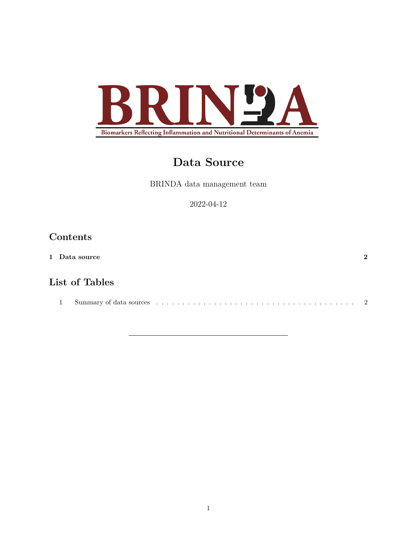

# **Data Source**

BRINDA data management team

2022-04-12

# **Contents**

| 1 Data source                                                                                                                                                                                                                 | $\Omega$ |
|-------------------------------------------------------------------------------------------------------------------------------------------------------------------------------------------------------------------------------|----------|
| List of Tables                                                                                                                                                                                                                |          |
| Summary of data sources in the content of the content of the set of the set of the set of the set of the set of the set of the set of the set of the set of the set of the set of the set of the set of the set of the set of | $\sim$ 2 |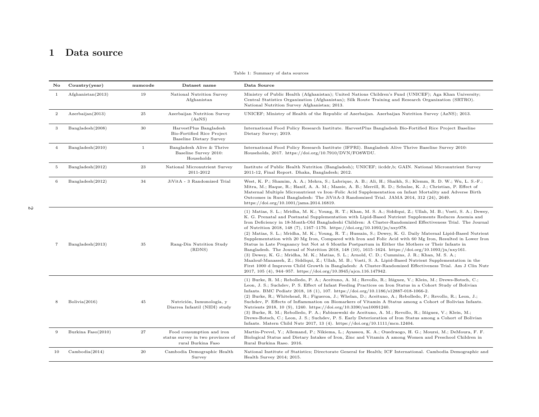# <span id="page-1-1"></span>**1 Data source**

<span id="page-1-0"></span>

| No             | Country(year)           | numcode      | Dataset name                                                                                  | Data Source                                                                                                                                                                                                                                                                                                                                                                                                                                                                                                                                                                                                                                                                                                                                                                                                                                                                                                                                                                                                                                                                                                                                                                                                                                                       |
|----------------|-------------------------|--------------|-----------------------------------------------------------------------------------------------|-------------------------------------------------------------------------------------------------------------------------------------------------------------------------------------------------------------------------------------------------------------------------------------------------------------------------------------------------------------------------------------------------------------------------------------------------------------------------------------------------------------------------------------------------------------------------------------------------------------------------------------------------------------------------------------------------------------------------------------------------------------------------------------------------------------------------------------------------------------------------------------------------------------------------------------------------------------------------------------------------------------------------------------------------------------------------------------------------------------------------------------------------------------------------------------------------------------------------------------------------------------------|
| $\mathbf{1}$   | $A$ fghanistan $(2013)$ | 19           | National Nutrition Survey<br>Afghanistan                                                      | Ministry of Public Health (Afghanistan); United Nations Children's Fund (UNICEF); Aga Khan University;<br>Central Statistics Organization (Afghanistan); Silk Route Training and Research Organization (SRTRO).<br>National Nutrition Survey Afghanistan; 2013.                                                                                                                                                                                                                                                                                                                                                                                                                                                                                                                                                                                                                                                                                                                                                                                                                                                                                                                                                                                                   |
| $\,2\,$        | Azerbaijan(2013)        | $\bf 25$     | Azerbaijan Nutrition Survey<br>(AzNS)                                                         | UNICEF; Ministry of Health of the Republic of Azerbaijan. Azerbaijan Nutrition Survey (AzNS); 2013.                                                                                                                                                                                                                                                                                                                                                                                                                                                                                                                                                                                                                                                                                                                                                                                                                                                                                                                                                                                                                                                                                                                                                               |
| 3              | Bangladesh(2008)        | $30\,$       | HarvestPlus Bangladesh<br><b>Bio-Fortified Rice Project</b><br><b>Baseline Dietary Survey</b> | International Food Policy Research Institute. HarvestPlus Bangladesh Bio-Fortified Rice Project Baseline<br>Dietary Survey; 2019.                                                                                                                                                                                                                                                                                                                                                                                                                                                                                                                                                                                                                                                                                                                                                                                                                                                                                                                                                                                                                                                                                                                                 |
| $\overline{4}$ | Bangladesh(2010)        | $\mathbf{1}$ | Bangladesh Alive & Thrive<br>Baseline Survey 2010:<br>Households                              | International Food Policy Research Institute (IFPRI). Bangladesh Alive Thrive Baseline Survey 2010:<br>Households, 2017. https://doi.org/10.7910/DVN/FO8WDU.                                                                                                                                                                                                                                                                                                                                                                                                                                                                                                                                                                                                                                                                                                                                                                                                                                                                                                                                                                                                                                                                                                      |
| 5              | Bangladesh(2012)        | $\bf 23$     | National Micronutrient Survey<br>2011-2012                                                    | Institute of Public Health Nutrition (Bangladesh); UNICEF; iicddr,b; GAIN. National Micronutrient Survey<br>2011-12, Final Report. Dhaka, Bangladesh; 2012.                                                                                                                                                                                                                                                                                                                                                                                                                                                                                                                                                                                                                                                                                                                                                                                                                                                                                                                                                                                                                                                                                                       |
| 6              | Bangladesh(2012)        | 34           | JiVitA - 3 Randomized Trial                                                                   | West, K. P.; Shamim, A. A.; Mehra, S.; Labrique, A. B.; Ali, H.; Shaikh, S.; Klemm, R. D. W.; Wu, L. S.-F.;<br>Mitra, M.; Haque, R.; Hanif, A. A. M.; Massie, A. B.; Merrill, R. D.; Schulze, K. J.; Christian, P. Effect of<br>Maternal Multiple Micronutrient vs Iron-Folic Acid Supplementation on Infant Mortality and Adverse Birth<br>Outcomes in Rural Bangladesh: The JiVitA-3 Randomized Trial. JAMA 2014, 312 (24), 2649.<br>https://doi.org/10.1001/jama.2014.16819.                                                                                                                                                                                                                                                                                                                                                                                                                                                                                                                                                                                                                                                                                                                                                                                   |
| 7              | Bangladesh(2013)        | 35           | Rang-Din Nutrition Study<br>(RDNS)                                                            | (1) Matias, S. L.; Mridha, M. K.; Young, R. T.; Khan, M. S. A.; Siddiqui, Z.; Ullah, M. B.; Vosti, S. A.; Dewey,<br>K. G. Prenatal and Postnatal Supplementation with Lipid-Based Nutrient Supplements Reduces Anemia and<br>Iron Deficiency in 18-Month-Old Bangladeshi Children: A Cluster-Randomized Effectiveness Trial. The Journal<br>of Nutrition 2018, 148 (7), 1167-1176. https://doi.org/10.1093/jn/nxy078.<br>(2) Matias, S. L.; Mridha, M. K.; Young, R. T.; Hussain, S.; Dewey, K. G. Daily Maternal Lipid-Based Nutrient<br>Supplementation with 20 Mg Iron, Compared with Iron and Folic Acid with 60 Mg Iron, Resulted in Lower Iron<br>Status in Late Pregnancy but Not at 6 Months Postpartum in Either the Mothers or Their Infants in<br>Bangladesh. The Journal of Nutrition 2018, 148 (10), 1615-1624. https://doi.org/10.1093/jn/nxy161.<br>(3) Dewey, K. G.; Mridha, M. K.; Matias, S. L.; Arnold, C. D.; Cummins, J. R.; Khan, M. S. A.;<br>Maalouf-Manasseh, Z.; Siddiqui, Z.; Ullah, M. B.; Vosti, S. A. Lipid-Based Nutrient Supplementation in the<br>First 1000 d Improves Child Growth in Bangladesh: A Cluster-Randomized Effectiveness Trial. Am J Clin Nutr<br>2017, 105 (4), 944-957. https://doi.org/10.3945/ajcn.116.147942. |
| 8              | Bolivia(2016)           | 45           | Nutrición, Inmunología, y<br>Diarrea Infantil (NIDI) study                                    | (1) Burke, R. M.; Rebolledo, P. A.; Aceituno, A. M.; Revollo, R.; Iñiguez, V.; Klein, M.; Drews-Botsch, C.;<br>Leon, J. S.; Suchdev, P. S. Effect of Infant Feeding Practices on Iron Status in a Cohort Study of Bolivian<br>Infants. BMC Pediatr 2018, 18 (1), 107. https://doi.org/10.1186/s12887-018-1066-2.<br>(2) Burke, R.; Whitehead, R.; Figueroa, J.; Whelan, D.; Aceituno, A.; Rebolledo, P.; Revollo, R.; Leon, J.;<br>Suchdev, P. Effects of Inflammation on Biomarkers of Vitamin A Status among a Cohort of Bolivian Infants.<br>Nutrients 2018, 10 (9), 1240. https://doi.org/10.3390/nu10091240.<br>(3) Burke, R. M.; Rebolledo, P. A.; Fabiszewski de Aceituno, A. M.; Revollo, R.; Iñiguez, V.; Klein, M.;<br>Drews-Botsch, C.; Leon, J. S.; Suchdev, P. S. Early Deterioration of Iron Status among a Cohort of Bolivian<br>Infants. Matern Child Nutr 2017, 13 (4). https://doi.org/10.1111/mcn.12404.                                                                                                                                                                                                                                                                                                                                       |
| 9              | Burkina Faso(2010)      | 27           | Food consumption and iron<br>status survey in two provinces of<br>rural Burkina Faso          | Martin-Prevel, Y.; Allemand, P.; Nikiema, L.; Ayassou, K. A.; Ouedraogo, H. G.; Moursi, M.; DeMoura, F. F.<br>Biological Status and Dietary Intakes of Iron, Zinc and Vitamin A among Women and Preschool Children in<br>Rural Burkina Raso. 2016.                                                                                                                                                                                                                                                                                                                                                                                                                                                                                                                                                                                                                                                                                                                                                                                                                                                                                                                                                                                                                |
| 10             | Cambodia(2014)          | 20           | Cambodia Demographic Health<br>Survey                                                         | National Institute of Statistics; Directorate General for Health; ICF International. Cambodia Demographic and<br>Health Survey 2014; 2015.                                                                                                                                                                                                                                                                                                                                                                                                                                                                                                                                                                                                                                                                                                                                                                                                                                                                                                                                                                                                                                                                                                                        |

Table 1: Summary of data sources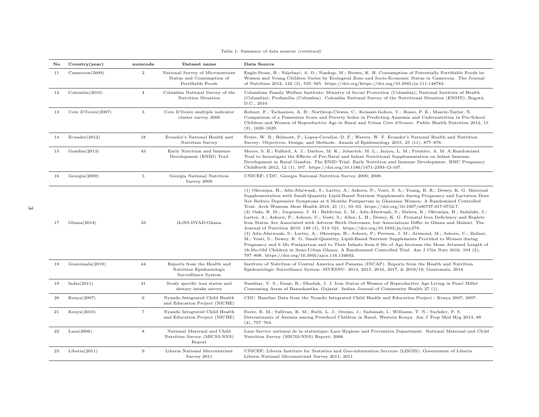| No | Country(year)       | numcode        | Dataset name                                                                       | Data Source                                                                                                                                                                                                                                                                                                                                                                                                                                                                                                                                                                                                                                                                                                                                                                                                                                                                                                                                                                                                                                                                                                                                                                                                                                                                                                                                                           |
|----|---------------------|----------------|------------------------------------------------------------------------------------|-----------------------------------------------------------------------------------------------------------------------------------------------------------------------------------------------------------------------------------------------------------------------------------------------------------------------------------------------------------------------------------------------------------------------------------------------------------------------------------------------------------------------------------------------------------------------------------------------------------------------------------------------------------------------------------------------------------------------------------------------------------------------------------------------------------------------------------------------------------------------------------------------------------------------------------------------------------------------------------------------------------------------------------------------------------------------------------------------------------------------------------------------------------------------------------------------------------------------------------------------------------------------------------------------------------------------------------------------------------------------|
| 11 | Cameroon(2009)      | $\overline{2}$ | National Survey of Micronutrient<br>Status and Consumption of<br>Fortifiable Foods | Engle-Stone, R.; Ndjebayi, A. O.; Nankap, M.; Brown, K. H. Consumption of Potentially Fortifiable Foods by<br>Women and Young Children Varies by Ecological Zone and Socio-Economic Status in Cameroon. The Journal<br>of Nutrition 2012, 142 (3), 555-565. https://doi.org/https://doi.org/10.3945/jn.111.148783.                                                                                                                                                                                                                                                                                                                                                                                                                                                                                                                                                                                                                                                                                                                                                                                                                                                                                                                                                                                                                                                    |
| 12 | Colombia(2010)      | $\overline{4}$ | Columbia National Survey of the<br>Nutrition Situation                             | Columbian Family Welfare Institute; Ministry of Social Protection (Columbia); National Institute of Health<br>(Columbia); Profamilia (Columbia). Colombia National Survey of the Nutritional Situation (ENSIN); Bogotá,<br>D.C., 2010.                                                                                                                                                                                                                                                                                                                                                                                                                                                                                                                                                                                                                                                                                                                                                                                                                                                                                                                                                                                                                                                                                                                                |
| 13 | Cote D'Ivoire(2007) | 3              | Cote D'Ivoire multiple indicator<br>cluster survey 2006                            | Rohner, F.; Tschannen, A. B.; Northrop-Clewes, C.; Kouassi-Gohou, V.; Bosso, P. E.; Mascie-Taylor, N.<br>Comparison of a Possession Score and Poverty Index in Predicting Anaemia and Undernutrition in Pre-School<br>Children and Women of Reproductive Age in Rural and Urban Cote d'Ivoure. Public Health Nutrition 2012, 15<br>$(9)$ , 1620-1629.                                                                                                                                                                                                                                                                                                                                                                                                                                                                                                                                                                                                                                                                                                                                                                                                                                                                                                                                                                                                                 |
| 14 | Ecuador (2012)      | 18             | Ecuador's National Health and<br><b>Nutrition Survey</b>                           | Freire, W. B.; Belmont, P.; Lopez-Cevallos, D. F.; Waters, W. F. Ecuador's National Health and Nutrition<br>Survey: Objectives, Design, and Methods. Annals of Epidemiology 2015, 25 (11), 877–878.                                                                                                                                                                                                                                                                                                                                                                                                                                                                                                                                                                                                                                                                                                                                                                                                                                                                                                                                                                                                                                                                                                                                                                   |
| 15 | Gambia(2013)        | 43             | Early Nutrition and Immune<br>Development (ENID) Trail                             | Moore, S. E.; Fulford, A. J.; Darboe, M. K.; Jobarteh, M. L.; Jarjou, L. M.; Prentice, A. M. A Randomized<br>Trial to Investigate the Effects of Pre-Natal and Infant Nutritional Supplementation on Infant Immune<br>Development in Rural Gambia: The ENID Trial: Early Nutrition and Immune Development. BMC Pregnancy<br>Childbirth 2012, 12 (1), 107. https://doi.org/10.1186/1471-2393-12-107.                                                                                                                                                                                                                                                                                                                                                                                                                                                                                                                                                                                                                                                                                                                                                                                                                                                                                                                                                                   |
| 16 | Georgia(2009)       | 5              | Georgia National Nutrition<br>Survey 2009                                          | UNICEF; CDC. Georgia National Nutrition Survey 2009; 2009.                                                                                                                                                                                                                                                                                                                                                                                                                                                                                                                                                                                                                                                                                                                                                                                                                                                                                                                                                                                                                                                                                                                                                                                                                                                                                                            |
| 17 | Ghana(2014)         | 33             | iLiNS-DYAD-Ghana                                                                   | (1) Okronipa, H.; Adu-Afarwuah, S.; Lartey, A.; Ashorn, P.; Vosti, S. A.; Young, R. R.; Dewey, K. G. Maternal<br>Supplementation with Small-Quantity Lipid-Based Nutrient Supplements during Pregnancy and Lactation Does<br>Not Reduce Depressive Symptoms at 6 Months Postpartum in Ghanaian Women: A Randomized Controlled<br>Trial. Arch Womens Ment Health 2018, 21 (1), 55–63. https://doi.org/10.1007/s00737-017-0752-7.<br>(2) Oaks, B. M.; Jorgensen, J. M.; Baldiviez, L. M.; Adu-Afarwuah, S.; Maleta, K.; Okronipa, H.; Sadalaki, J.;<br>Lartey, A.; Ashorn, P.; Ashorn, U.; Vosti, S.; Allen, L. H.; Dewey, K. G. Prenatal Iron Deficiency and Replete<br>Iron Status Are Associated with Adverse Birth Outcomes, but Associations Differ in Ghana and Malawi. The<br>Journal of Nutrition 2019, 149 (3), 513-521. https://doi.org/10.1093/jn/nxy278.<br>(3) Adu-Afarwuah, S.; Lartey, A.; Okronipa, H.; Ashorn, P.; Peerson, J. M.; Arimond, M.; Ashorn, U.; Zeilani,<br>M.; Vosti, S.; Dewey, K. G. Small-Quantity, Lipid-Based Nutrient Supplements Provided to Women during<br>Pregnancy and 6 Mo Postpartum and to Their Infants from 6 Mo of Age Increase the Mean Attained Length of<br>18-Mo-Old Children in Semi-Urban Ghana: A Randomized Controlled Trial. Am J Clin Nutr 2016, 104 (3),<br>797-808. https://doi.org/10.3945/ajcn.116.134692. |
| 18 | Guatenala(2019)     | 44             | Reports from the Health and<br>Nutrition Epidemiologic<br>Surveillance System      | Institute of Nutrition of Central America and Panama (INCAP). Reports from the Health and Nutrition<br>Epidemiologic Surveillance System -SIVESNU- 2013, 2015, 2016, 2017, & 2018/19; Guatemala, 2018.                                                                                                                                                                                                                                                                                                                                                                                                                                                                                                                                                                                                                                                                                                                                                                                                                                                                                                                                                                                                                                                                                                                                                                |
| 19 | India(2011)         | 31             | Study specific iron status and<br>dietary intake survey                            | Nambiar, V. S.; Desai, R.; Dhaduk, J. J. Iron Status of Women of Reproductive Age Living in Pearl Millet<br>Consuming Areas of Banaskantha, Gujarat. Indian Journal of Community Health 27 (1).                                                                                                                                                                                                                                                                                                                                                                                                                                                                                                                                                                                                                                                                                                                                                                                                                                                                                                                                                                                                                                                                                                                                                                       |
| 20 | Kenya(2007)         | 6              | Nyando Integrated Child Health<br>and Education Project (NICHE)                    | CDC. Baseline Data from the Nyando Integrated Child Health and Education Project - Kenya 2007; 2007.                                                                                                                                                                                                                                                                                                                                                                                                                                                                                                                                                                                                                                                                                                                                                                                                                                                                                                                                                                                                                                                                                                                                                                                                                                                                  |
| 21 | Kenya(2010)         | $\overline{7}$ | Nyando Integrated Child Health<br>and Education Project (NICHE)                    | Foote, E. M.; Sullivan, K. M.; Ruth, L. J.; Oremo, J.; Sadumah, I.; Williams, T. N.; Suchdev, P. S.<br>Determinants of Anemia among Preschool Children in Rural, Western Kenya. Am J Trop Med Hyg 2013, 88<br>$(4), 757-764.$                                                                                                                                                                                                                                                                                                                                                                                                                                                                                                                                                                                                                                                                                                                                                                                                                                                                                                                                                                                                                                                                                                                                         |
| 22 | $\text{Laos}(2006)$ | 8              | National Maternal and Child<br>Nutrition Survey (MICS3-NNS)<br>Report              | Laos Service national de la statistique; Laos Hygiene and Prevention Department. National Maternal and Child<br>Nutrition Survey (MICS3-NNS) Report; 2006.                                                                                                                                                                                                                                                                                                                                                                                                                                                                                                                                                                                                                                                                                                                                                                                                                                                                                                                                                                                                                                                                                                                                                                                                            |
| 23 | Liberia(2011)       | 9              | Liberia National Micronutrient<br>Survey 2011                                      | UNICEF; Liberia Institute for Statistics and Geo-information Services (LISGIS); Government of Liberia.<br>Liberia National Micronutrient Survey 2011; 2011.                                                                                                                                                                                                                                                                                                                                                                                                                                                                                                                                                                                                                                                                                                                                                                                                                                                                                                                                                                                                                                                                                                                                                                                                           |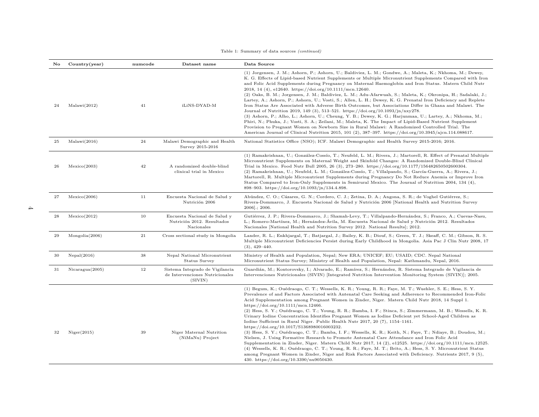| No | Country(year)   | numcode | Dataset name                                                                  | Data Source                                                                                                                                                                                                                                                                                                                                                                                                                                                                                                                                                                                                                                                                                                                                                                                                                                                                                                                                                                                                                                                                                                                                                                                                                                                                                                                         |
|----|-----------------|---------|-------------------------------------------------------------------------------|-------------------------------------------------------------------------------------------------------------------------------------------------------------------------------------------------------------------------------------------------------------------------------------------------------------------------------------------------------------------------------------------------------------------------------------------------------------------------------------------------------------------------------------------------------------------------------------------------------------------------------------------------------------------------------------------------------------------------------------------------------------------------------------------------------------------------------------------------------------------------------------------------------------------------------------------------------------------------------------------------------------------------------------------------------------------------------------------------------------------------------------------------------------------------------------------------------------------------------------------------------------------------------------------------------------------------------------|
| 24 | Malawi(2012)    | 41      | iLiNS-DYAD-M                                                                  | (1) Jorgensen, J. M.; Ashorn, P.; Ashorn, U.; Baldiviez, L. M.; Gondwe, A.; Maleta, K.; Nkhoma, M.; Dewey,<br>K. G. Effects of Lipid-based Nutrient Supplements or Multiple Micronutrient Supplements Compared with Iron<br>and Folic Acid Supplements during Pregnancy on Maternal Haemoglobin and Iron Status. Matern Child Nutr<br>2018, 14 (4), e12640. https://doi.org/10.1111/mcn.12640.<br>(2) Oaks, B. M.; Jorgensen, J. M.; Baldiviez, L. M.; Adu-Afarwuah, S.; Maleta, K.; Okronipa, H.; Sadalaki, J.;<br>Lartey, A.; Ashorn, P.; Ashorn, U.; Vosti, S.; Allen, L. H.; Dewey, K. G. Prenatal Iron Deficiency and Replete<br>Iron Status Are Associated with Adverse Birth Outcomes, but Associations Differ in Ghana and Malawi. The<br>Journal of Nutrition 2019, 149 (3), 513-521. https://doi.org/10.1093/jn/nxy278.<br>(3) Ashorn, P.; Alho, L.; Ashorn, U.; Cheung, Y. B.; Dewey, K. G.; Harjunmaa, U.; Lartey, A.; Nkhoma, M.;<br>Phiri, N.; Phuka, J.; Vosti, S. A.; Zeilani, M.; Maleta, K. The Impact of Lipid-Based Nutrient Supplement<br>Provision to Pregnant Women on Newborn Size in Rural Malawi: A Randomized Controlled Trial. The<br>American Journal of Clinical Nutrition 2015, 101 (2), 387-397. https://doi.org/10.3945/ajcn.114.088617.                                                           |
| 25 | Malawi(2016)    | 24      | Malawi Demographic and Health<br>Survey 2015-2016                             | National Statistics Office (NSO); ICF. Malawi Demographic and Health Survey 2015-2016; 2016.                                                                                                                                                                                                                                                                                                                                                                                                                                                                                                                                                                                                                                                                                                                                                                                                                                                                                                                                                                                                                                                                                                                                                                                                                                        |
| 26 | Mexico(2003)    | 42      | A randomized double-blind<br>clinical trial in Mexico                         | (1) Ramakrishnan, U.; González-Cossío, T.; Neufeld, L. M.; Rivera, J.; Martorell, R. Effect of Prenatal Multiple<br>Micronutrient Supplements on Maternal Weight and Skinfold Changes: A Randomized Double-Blind Clinical<br>Trial in Mexico. Food Nutr Bull 2005, 26 (3), 273-280. https://doi.org/10.1177/156482650502600304.<br>(2) Ramakrishnan, U.; Neufeld, L. M.; González-Cossío, T.; Villalpando, S.; García-Guerra, A.; Rivera, J.;<br>Martorell, R. Multiple Micronutrient Supplements during Pregnancy Do Not Reduce Anemia or Improve Iron<br>Status Compared to Iron-Only Supplements in Semirural Mexico. The Journal of Nutrition 2004, 134 (4).<br>898-903. https://doi.org/10.1093/jn/134.4.898.                                                                                                                                                                                                                                                                                                                                                                                                                                                                                                                                                                                                                  |
| 27 | Mexico(2006)    | 11      | Encuesta Nacional de Salud y<br>Nutrición 2006                                | Abúndez, C. O.; Cázares, G. N.; Cordero, C. J.; Zetina, D. A.; Angona, S. R.; de Voghel Gutiérrez, S.;<br>Rivera-Dommarco, J. Encuesta Nacional de Salud y Nutrición 2006 [National Health and Nutrition Survey<br>$2006$ ].; $2006$ .                                                                                                                                                                                                                                                                                                                                                                                                                                                                                                                                                                                                                                                                                                                                                                                                                                                                                                                                                                                                                                                                                              |
| 28 | Mexico(2012)    | 10      | Encuesta Nacional de Salud y<br>Nutrición 2012. Resultados<br>Nacionales      | Gutiérrez, J. P.; Rivera-Dommarco, J.; Shamah-Levy, T.; Villalpando-Hernández, S.; Franco, A.; Cuevas-Nasu,<br>L.; Romero-Martínez, M.; Hernández-Ávila, M. Encuesta Nacional de Salud y Nutrición 2012. Resultados<br>Nacionales [National Health and Nutrition Survey 2012. National Results]; 2012.                                                                                                                                                                                                                                                                                                                                                                                                                                                                                                                                                                                                                                                                                                                                                                                                                                                                                                                                                                                                                              |
| 29 | Mongolia(2006)  | 21      | Cross sectional study in Mongolia                                             | Lander, R. L.; Enkhjargal, T.; Batjargal, J.; Bailey, K. B.; Diouf, S.; Green, T. J.; Skeaff, C. M.; Gibson, R. S.<br>Multiple Micronutrient Deficiencies Persist during Early Childhood in Mongolia. Asia Pac J Clin Nutr 2008, 17<br>$(3), 429-440.$                                                                                                                                                                                                                                                                                                                                                                                                                                                                                                                                                                                                                                                                                                                                                                                                                                                                                                                                                                                                                                                                              |
| 30 | Nepal(2016)     | 38      | Nepal National Micronutrient<br>Status Survey                                 | Ministry of Health and Population, Nepal; New ERA; UNICEF; EU; USAID; CDC. Nepal National<br>Micronutrient Status Survey; Ministry of Health and Population, Nepal: Kathmandu, Nepal, 2016.                                                                                                                                                                                                                                                                                                                                                                                                                                                                                                                                                                                                                                                                                                                                                                                                                                                                                                                                                                                                                                                                                                                                         |
| 31 | Nicaragua(2005) | 12      | Sistema Integrado de Vigilancia<br>de Intervenciones Nutricionales<br>(SIVIN) | Guardián, M.; Kontorovsky, I.; Alvarado, E.; Ramírez, S.; Hernández, R. Sistema Integrado de Vigilancia de<br>Intervenciones Nutricionales (SIVIN) [Integrated Nutrition Intervention Monitoring System (SIVIN)]; 2005.                                                                                                                                                                                                                                                                                                                                                                                                                                                                                                                                                                                                                                                                                                                                                                                                                                                                                                                                                                                                                                                                                                             |
| 32 | Niger(2015)     | 39      | Niger Maternal Nutrition<br>(NiMaNu) Project                                  | (1) Begum, K.; Ouédraogo, C. T.; Wessells, K. R.; Young, R. R.; Faye, M. T.; Wuehler, S. E.; Hess, S. Y.<br>Prevalence of and Factors Associated with Antenatal Care Seeking and Adherence to Recommended Iron-Folic<br>Acid Supplementation among Pregnant Women in Zinder, Niger. Matern Child Nutr 2018, 14 Suppl 1.<br>https://doi.org/10.1111/mcn.12466.<br>(2) Hess, S. Y.; Ouédraogo, C. T.; Young, R. R.; Bamba, I. F.; Stinca, S.; Zimmermann, M. B.; Wessells, K. R.<br>Urinary Iodine Concentration Identifies Pregnant Women as Iodine Deficient yet School-Aged Children as<br>Iodine Sufficient in Rural Niger. Public Health Nutr 2017, 20 (7), 1154-1161.<br>https://doi.org/10.1017/S1368980016003232.<br>(3) Hess, S. Y.; Ouédraogo, C. T.; Bamba, I. F.; Wessells, K. R.; Keith, N.; Faye, T.; Ndiaye, B.; Doudou, M.;<br>Nielsen, J. Using Formative Research to Promote Antenatal Care Attendance and Iron Folic Acid<br>Supplementation in Zinder, Niger. Matern Child Nutr 2017, 14 (2), e12525. https://doi.org/10.1111/mcn.12525.<br>(4) Wessells, K. R.; Ouédraogo, C. T.; Young, R. R.; Faye, M. T.; Brito, A.; Hess, S. Y. Micronutrient Status<br>among Pregnant Women in Zinder, Niger and Risk Factors Associated with Deficiency. Nutrients 2017, 9 (5),<br>430. https://doi.org/10.3390/nu9050430. |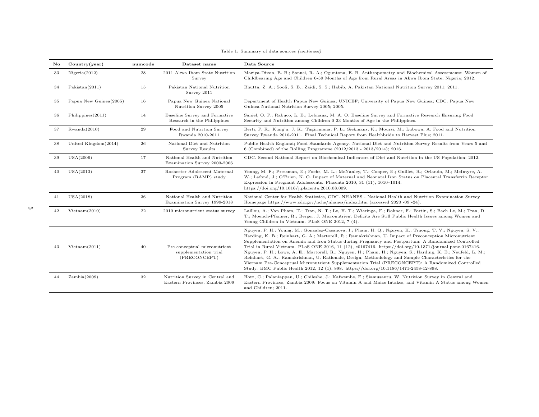| No | Country(year)          | numcode   | Dataset name                                                          | Data Source                                                                                                                                                                                                                                                                                                                                                                                                                                                                                                                                                                                                                                                                                                                                                                                                                                            |
|----|------------------------|-----------|-----------------------------------------------------------------------|--------------------------------------------------------------------------------------------------------------------------------------------------------------------------------------------------------------------------------------------------------------------------------------------------------------------------------------------------------------------------------------------------------------------------------------------------------------------------------------------------------------------------------------------------------------------------------------------------------------------------------------------------------------------------------------------------------------------------------------------------------------------------------------------------------------------------------------------------------|
| 33 | Nigena(2012)           | 28        | 2011 Akwa Ibom State Nutrition<br>Survey                              | Maziya-Dixon, B. B.; Sanusi, R. A.; Oguntona, E. B. Anthropometry and Biochemical Assessments: Women of<br>Childbearing Age and Children 6-59 Months of Age from Rural Areas in Akwa Ibom State, Nigeria; 2012.                                                                                                                                                                                                                                                                                                                                                                                                                                                                                                                                                                                                                                        |
| 34 | Pakistan(2011)         | 15        | Pakistan National Nutrition<br>Survey 2011                            | Bhutta, Z. A.; Soofi, S. B.; Zaidi, S. S.; Habib, A. Pakistan National Nutrition Survey 2011; 2011.                                                                                                                                                                                                                                                                                                                                                                                                                                                                                                                                                                                                                                                                                                                                                    |
| 35 | Papua New Guinea(2005) | 16        | Papua New Guinea National<br>Nutrition Survey 2005                    | Department of Health Papua New Guinea; UNICEF; University of Papua New Guinea; CDC. Papua New<br>Guinea National Nutrition Survey 2005; 2005.                                                                                                                                                                                                                                                                                                                                                                                                                                                                                                                                                                                                                                                                                                          |
| 36 | Philippines(2011)      | 14        | Baseline Survey and Formative<br>Research in the Philippines          | Saniel, O. P.; Rabuco, L. B.; Lebnana, M. A. O. Baseline Survey and Formative Research Ensuring Food<br>Security and Nutrition among Children 0-23 Months of Age in the Philippines.                                                                                                                                                                                                                                                                                                                                                                                                                                                                                                                                                                                                                                                                   |
| 37 | Rwanda(2010)           | 29        | Food and Nutrition Survey<br>Rwanda 2010-2011                         | Berti, P. R.; Kung'u, J. K.; Tugirimana, P. L.; Siekmans, K.; Moursi, M.; Lubowa, A. Food and Nutrition<br>Survey Rwanda 2010-2011. Final Technical Report from Healthbride to Harvest Plus: 2011.                                                                                                                                                                                                                                                                                                                                                                                                                                                                                                                                                                                                                                                     |
| 38 | United Kingdom(2014)   | 26        | National Diet and Nutrition<br>Survey Results                         | Public Health England; Food Standards Agency. National Diet and Nutrition Survey Results from Years 5 and<br>6 (Combined) of the Rolling Programme $(2012/2013 - 2013/2014)$ ; 2016.                                                                                                                                                                                                                                                                                                                                                                                                                                                                                                                                                                                                                                                                   |
| 39 | USA(2006)              | 17        | National Health and Nutrition<br>Examination Survey 2003-2006         | CDC. Second National Report on Biochemical Indicators of Diet and Nutrition in the US Population; 2012.                                                                                                                                                                                                                                                                                                                                                                                                                                                                                                                                                                                                                                                                                                                                                |
| 40 | USA(2013)              | 37        | Rochester Adolescent Maternal<br>Program (RAMP) study                 | Young, M. F.; Pressman, E.; Foehr, M. L.; McNanley, T.; Cooper, E.; Guillet, R.; Orlando, M.; McIntyre, A.<br>W.; Lafond, J.; O'Brien, K. O. Impact of Maternal and Neonatal Iron Status on Placental Transferrin Receptor<br>Expression in Pregnant Adolescents. Placenta 2010, 31 (11), 1010-1014.<br>https://doi.org/10.1016/j.placenta.2010.08.009.                                                                                                                                                                                                                                                                                                                                                                                                                                                                                                |
| 41 | USA(2018)              | 36        | National Health and Nutrition<br>Examination Survey 1999-2018         | National Center for Health Statistics, CDC. NHANES - National Health and Nutrition Examination Survey<br>Homepage https://www.cdc.gov/nchs/nhanes/index.htm (accessed 2020 -09 -24).                                                                                                                                                                                                                                                                                                                                                                                                                                                                                                                                                                                                                                                                   |
| 42 | Vietnam(2010)          | $\bf{22}$ | 2010 micronutrient status survey                                      | Laillou, A.; Van Pham, T.; Tran, N. T.; Le, H. T.; Wieringa, F.; Rohner, F.; Fortin, S.; Bach Le, M.; Tran, D.<br>T.; Moench-Pfanner, R.; Berger, J. Micronutrient Deficits Are Still Public Health Issues among Women and<br>Young Children in Vietnam. PLoS ONE 2012, 7 (4).                                                                                                                                                                                                                                                                                                                                                                                                                                                                                                                                                                         |
| 43 | Vietnam(2011)          | 40        | Pre-conceptual micronutrient<br>supplementation trial<br>(PRECONCEPT) | Nguyen, P. H.; Young, M.; Gonzalez-Casanova, I.; Pham, H. Q.; Nguyen, H.; Truong, T. V.; Nguyen, S. V.;<br>Harding, K. B.; Reinhart, G. A.; Martorell, R.; Ramakrishnan, U. Impact of Preconception Micronutrient<br>Supplementation on Anemia and Iron Status during Pregnancy and Postpartum: A Randomized Controlled<br>Trial in Rural Vietnam. PLoS ONE 2016, 11 (12), e0167416. https://doi.org/10.1371/journal.pone.0167416.<br>Nguyen, P. H.; Lowe, A. E.; Martorell, R.; Nguyen, H.; Pham, H.; Nguyen, S.; Harding, K. B.; Neufeld, L. M.;<br>Reinhart, G. A.; Ramakrishnan, U. Rationale, Design, Methodology and Sample Characteristics for the<br>Vietnam Pre-Conceptual Micronutrient Supplementation Trial (PRECONCEPT): A Randomized Controlled<br>Study. BMC Public Health 2012, 12 (1), 898. https://doi.org/10.1186/1471-2458-12-898. |
| 44 | Zambia(2009)           | 32        | Nutrition Survey in Central and<br>Eastern Provinces, Zambia 2009     | Hotz, C.; Palaniappan, U.; Chileshe, J.; Kafwembe, E.; Siamusantu, W. Nutrition Survey in Central and<br>Eastern Provinces, Zambia 2009: Focus on Vitamin A and Maize Intakes, and Vitamin A Status among Women<br>and Children; 2011.                                                                                                                                                                                                                                                                                                                                                                                                                                                                                                                                                                                                                 |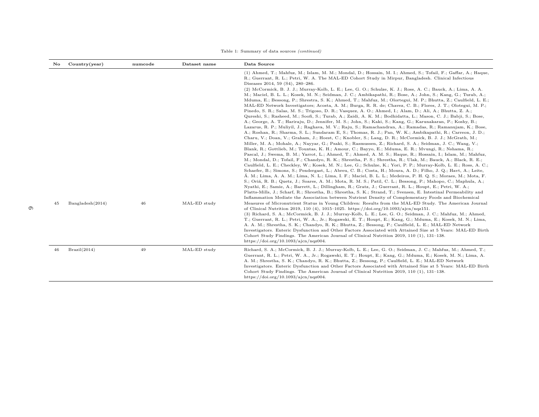| No | Country(year)    | numcode | Dataset name | Data Source                                                                                                                                                                                                                                                                                                                                                                                                                                                                                                                                                                                                                                                                                                                                                                                                                                                                                                                                                                                                                                                                                                                                                                                                                                                                                                                                                                                                                                                                                                                                                                                                                                                                                                                                                                                                                                                                                                                                                                                                                                                                                                                                                                                                                                                                                                                                                                                                                                                                                                                                                                                                                                                                                     |
|----|------------------|---------|--------------|-------------------------------------------------------------------------------------------------------------------------------------------------------------------------------------------------------------------------------------------------------------------------------------------------------------------------------------------------------------------------------------------------------------------------------------------------------------------------------------------------------------------------------------------------------------------------------------------------------------------------------------------------------------------------------------------------------------------------------------------------------------------------------------------------------------------------------------------------------------------------------------------------------------------------------------------------------------------------------------------------------------------------------------------------------------------------------------------------------------------------------------------------------------------------------------------------------------------------------------------------------------------------------------------------------------------------------------------------------------------------------------------------------------------------------------------------------------------------------------------------------------------------------------------------------------------------------------------------------------------------------------------------------------------------------------------------------------------------------------------------------------------------------------------------------------------------------------------------------------------------------------------------------------------------------------------------------------------------------------------------------------------------------------------------------------------------------------------------------------------------------------------------------------------------------------------------------------------------------------------------------------------------------------------------------------------------------------------------------------------------------------------------------------------------------------------------------------------------------------------------------------------------------------------------------------------------------------------------------------------------------------------------------------------------------------------------|
|    |                  |         |              | (1) Ahmed, T.; Mahfuz, M.; Islam, M. M.; Mondal, D.; Hossain, M. I.; Ahmed, S.; Tofail, F.; Gaffar, A.; Haque,<br>R.; Guerrant, R. L.; Petri, W. A. The MAL-ED Cohort Study in Mirpur, Bangladesh. Clinical Infectious<br>Diseases 2014, 59 (S4), 280-286.<br>(2) McCormick, B. J. J.; Murray-Kolb, L. E.; Lee, G. O.; Schulze, K. J.; Ross, A. C.; Bauck, A.; Lima, A. A.<br>M.; Maciel, B. L. L.; Kosek, M. N.; Seidman, J. C.; Ambikapathi, R.; Bose, A.; John, S.; Kang, G.; Turab, A.;<br>Mduma, E.; Bessong, P.; Shrestra, S. K.; Ahmed, T.; Mahfuz, M.; Olortegui, M. P.; Bhutta, Z.; Caulfield, L. E.;<br>MAL-ED Network Investigators; Acosta, A. M.; Burga, R. R. de; Chavez, C. B.; Flores, J. T.; Olotegui, M. P.;<br>Pinedo, S. R.; Salas, M. S.; Trigoso, D. R.; Vasquez, A. O.; Ahmed, I.; Alam, D.; Ali, A.; Bhutta, Z. A.;<br>Qureshi, S.; Rasheed, M.; Soofi, S.; Turab, A.; Zaidi, A. K. M.; Bodhidatta, L.; Mason, C. J.; Babji, S.; Bose,<br>A.; George, A. T.; Hariraju, D.; Jennifer, M. S.; John, S.; Kaki, S.; Kang, G.; Karunakaran, P.; Koshy, B.;<br>Lazarus, R. P.; Muliyil, J.; Raghava, M. V.; Raju, S.; Ramachandran, A.; Ramadas, R.; Ramanujam, K.; Bose,<br>A.; Roshan, R.; Sharma, S. L.; Sundaram E, S.; Thomas, R. J.; Pan, W. K.; Ambikapathi, R.; Carreon, J. D.;<br>Charu, V.; Doan, V.; Graham, J.; Hoest, C.; Knobler, S.; Lang, D. R.; McCormick, B. J. J.; McGrath, M.;<br>Miller, M. A.; Mohale, A.; Nayyar, G.; Psaki, S.; Rasmussen, Z.; Richard, S. A.; Seidman, J. C.; Wang, V.;<br>Blank, R.; Gottlieb, M.; Tountas, K. H.; Amour, C.; Bayyo, E.; Mduma, E. R.; Mvungi, R.; Nshama, R.;<br>Pascal, J.; Swema, B. M.; Yarrot, L.; Ahmed, T.; Ahmed, A. M. S.; Haque, R.; Hossain, I.; Islam, M.; Mahfuz,<br>M.; Mondal, D.; Tofail, F.; Chandyo, R. K.; Shrestha, P. S.; Shrestha, R.; Ulak, M.; Bauck, A.; Black, R. E.;<br>Caulfield, L. E.; Checkley, W.; Kosek, M. N.; Lee, G.; Schulze, K.; Yori, P. P.; Murray-Kolb, L. E.; Ross, A. C.;<br>Schaefer, B.; Simons, S.; Pendergast, L.; Abreu, C. B.; Costa, H.; Moura, A. D.; Filho, J. Q.; Havt, A.; Leite,<br>Á. M.; Lima, A. A. M.; Lima, N. L.; Lima, I. F.; Maciel, B. L. L.; Medeiros, P. H. Q. S.; Moraes, M.; Mota, F.<br>S.; Oriá, R. B.; Quetz, J.; Soares, A. M.; Mota, R. M. S.; Patil, C. L.; Bessong, P.; Mahopo, C.; Maphula, A.;<br>Nyathi, E.; Samie, A.; Barrett, L.; Dillingham, R.; Gratz, J.; Guerrant, R. L.; Houpt, E.; Petri, W. A.;<br>Platts-Mills, J.; Scharf, R.; Shrestha, B.; Shrestha, S. K.; Strand, T.; Svensen, E. Intestinal Permeability and<br>Inflammation Mediate the Association between Nutrient Density of Complementary Foods and Biochemical |
| 45 | Bangladesh(2014) | 46      | MAL-ED study | Measures of Micronutrient Status in Young Children: Results from the MAL-ED Study. The American Journal<br>of Clinical Nutrition 2019, 110 (4), 1015-1025. https://doi.org/10.1093/ajcn/nqz151.<br>(3) Richard, S. A.; McCormick, B. J. J.; Murray-Kolb, L. E.; Lee, G. O.; Seidman, J. C.; Mahfuz, M.; Ahmed,<br>T.; Guerrant, R. L.; Petri, W. A., Jr.; Rogawski, E. T.; Houpt, E.; Kang, G.; Mduma, E.; Kosek, M. N.; Lima,<br>A. A. M.; Shrestha, S. K.; Chandyo, R. K.; Bhutta, Z.; Bessong, P.; Caulfield, L. E.; MAL-ED Network<br>Investigators. Enteric Dysfunction and Other Factors Associated with Attained Size at 5 Years: MAL-ED Birth<br>Cohort Study Findings. The American Journal of Clinical Nutrition 2019, 110 (1), 131-138.<br>https://doi.org/10.1093/ajcn/nqz004.                                                                                                                                                                                                                                                                                                                                                                                                                                                                                                                                                                                                                                                                                                                                                                                                                                                                                                                                                                                                                                                                                                                                                                                                                                                                                                                                                                                                                                                                                                                                                                                                                                                                                                                                                                                                                                                                                                      |
| 46 | Brazil(2014)     | 49      | MAL-ED study | Richard, S. A.; McCormick, B. J. J.; Murray-Kolb, L. E.; Lee, G. O.; Seidman, J. C.; Mahfuz, M.; Ahmed, T.;<br>Guerrant, R. L.; Petri, W. A., Jr.; Rogawski, E. T.; Houpt, E.; Kang, G.; Mduma, E.; Kosek, M. N.; Lima, A.<br>A. M.; Shrestha, S. K.; Chandyo, R. K.; Bhutta, Z.; Bessong, P.; Caulfield, L. E.; MAL-ED Network<br>Investigators. Enteric Dysfunction and Other Factors Associated with Attained Size at 5 Years: MAL-ED Birth<br>Cohort Study Findings. The American Journal of Clinical Nutrition 2019, 110 (1), 131-138.<br>https://doi.org/10.1093/ajcn/nqz004.                                                                                                                                                                                                                                                                                                                                                                                                                                                                                                                                                                                                                                                                                                                                                                                                                                                                                                                                                                                                                                                                                                                                                                                                                                                                                                                                                                                                                                                                                                                                                                                                                                                                                                                                                                                                                                                                                                                                                                                                                                                                                                             |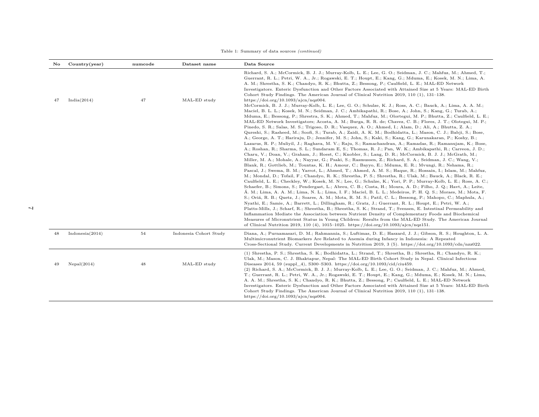| No | Country(year)      | numcode | Dataset name           | Data Source                                                                                                                                                                                                                                                                                                                                                                                                                                                                                                                                                                                                                                                                                                                                                                                                                                                                                                                                                                                                                                                                                                                                                                                                                                                                                                                                                                                                                                                                                                                                                                                                                                                                                                                                                                                                                                                                                                                                                                                                                                                                                                                                                                                                                                                                                                                                                                                                                                                                                                                                                |
|----|--------------------|---------|------------------------|------------------------------------------------------------------------------------------------------------------------------------------------------------------------------------------------------------------------------------------------------------------------------------------------------------------------------------------------------------------------------------------------------------------------------------------------------------------------------------------------------------------------------------------------------------------------------------------------------------------------------------------------------------------------------------------------------------------------------------------------------------------------------------------------------------------------------------------------------------------------------------------------------------------------------------------------------------------------------------------------------------------------------------------------------------------------------------------------------------------------------------------------------------------------------------------------------------------------------------------------------------------------------------------------------------------------------------------------------------------------------------------------------------------------------------------------------------------------------------------------------------------------------------------------------------------------------------------------------------------------------------------------------------------------------------------------------------------------------------------------------------------------------------------------------------------------------------------------------------------------------------------------------------------------------------------------------------------------------------------------------------------------------------------------------------------------------------------------------------------------------------------------------------------------------------------------------------------------------------------------------------------------------------------------------------------------------------------------------------------------------------------------------------------------------------------------------------------------------------------------------------------------------------------------------------|
| 47 | India(2014)        | 47      | MAL-ED study           | Richard, S. A.; McCormick, B. J. J.; Murray-Kolb, L. E.; Lee, G. O.; Seidman, J. C.; Mahfuz, M.; Ahmed, T.;<br>Guerrant, R. L.; Petri, W. A., Jr.; Rogawski, E. T.; Houpt, E.; Kang, G.; Mduma, E.; Kosek, M. N.; Lima, A.<br>A. M.; Shrestha, S. K.; Chandyo, R. K.; Bhutta, Z.; Bessong, P.; Caulfield, L. E.; MAL-ED Network<br>Investigators. Enteric Dysfunction and Other Factors Associated with Attained Size at 5 Years: MAL-ED Birth<br>Cohort Study Findings. The American Journal of Clinical Nutrition 2019, 110 (1), 131-138.<br>https://doi.org/10.1093/ajcn/nqz004.<br>McCormick, B. J. J.; Murray-Kolb, L. E.; Lee, G. O.; Schulze, K. J.; Ross, A. C.; Bauck, A.; Lima, A. A. M.;<br>Maciel, B. L. L.; Kosek, M. N.; Seidman, J. C.; Ambikapathi, R.; Bose, A.; John, S.; Kang, G.; Turab, A.;<br>Mduma, E.; Bessong, P.; Shrestra, S. K.; Ahmed, T.; Mahfuz, M.; Olortegui, M. P.; Bhutta, Z.; Caulfield, L. E.;<br>MAL-ED Network Investigators; Acosta, A. M.; Burga, R. R. de; Chavez, C. B.; Flores, J. T.; Olotegui, M. P.;<br>Pinedo, S. R.; Salas, M. S.; Trigoso, D. R.; Vasquez, A. O.; Ahmed, I.; Alam, D.; Ali, A.; Bhutta, Z. A.;<br>Qureshi, S.; Rasheed, M.; Soofi, S.; Turab, A.; Zaidi, A. K. M.; Bodhidatta, L.; Mason, C. J.; Babji, S.; Bose,<br>A.; George, A. T.; Hariraju, D.; Jennifer, M. S.; John, S.; Kaki, S.; Kang, G.; Karunakaran, P.; Koshy, B.;<br>Lazarus, R. P.; Muliyil, J.; Raghava, M. V.; Raju, S.; Ramachandran, A.; Ramadas, R.; Ramanujam, K.; Bose,<br>A.; Roshan, R.; Sharma, S. L.; Sundaram E, S.; Thomas, R. J.; Pan, W. K.; Ambikapathi, R.; Carreon, J. D.;<br>Charu, V.; Doan, V.; Graham, J.; Hoest, C.; Knobler, S.; Lang, D. R.; McCormick, B. J. J.; McGrath, M.;<br>Miller, M. A.; Mohale, A.; Nayyar, G.; Psaki, S.; Rasmussen, Z.; Richard, S. A.; Seidman, J. C.; Wang, V.;<br>Blank, R.; Gottlieb, M.; Tountas, K. H.; Amour, C.; Bayyo, E.; Mduma, E. R.; Mvungi, R.; Nshama, R.;<br>Pascal, J.; Swema, B. M.; Yarrot, L.; Ahmed, T.; Ahmed, A. M. S.; Haque, R.; Hossain, I.; Islam, M.; Mahfuz,<br>M.; Mondal, D.; Tofail, F.; Chandyo, R. K.; Shrestha, P. S.; Shrestha, R.; Ulak, M.; Bauck, A.; Black, R. E.;<br>Caulfield, L. E.; Checkley, W.; Kosek, M. N.; Lee, G.; Schulze, K.; Yori, P. P.; Murray-Kolb, L. E.; Ross, A. C.;<br>Schaefer, B.; Simons, S.; Pendergast, L.; Abreu, C. B.; Costa, H.; Moura, A. D.; Filho, J. Q.; Havt, A.; Leite,<br>Á. M.; Lima, A. A. M.; Lima, N. L.; Lima, I. F.; Maciel, B. L. L.; Medeiros, P. H. Q. S.; Moraes, M.; Mota, F. |
|    |                    |         |                        | S.; Oriá, R. B.; Quetz, J.; Soares, A. M.; Mota, R. M. S.; Patil, C. L.; Bessong, P.; Mahopo, C.; Maphula, A.;<br>Nyathi, E.; Samie, A.; Barrett, L.; Dillingham, R.; Gratz, J.; Guerrant, R. L.; Houpt, E.; Petri, W. A.;<br>Platts-Mills, J.; Scharf, R.; Shrestha, B.; Shrestha, S. K.; Strand, T.; Svensen, E. Intestinal Permeability and<br>Inflammation Mediate the Association between Nutrient Density of Complementary Foods and Biochemical<br>Measures of Micronutrient Status in Young Children: Results from the MAL-ED Study. The American Journal<br>of Clinical Nutrition 2019, 110 (4), 1015-1025. https://doi.org/10.1093/ajcn/nqz151.                                                                                                                                                                                                                                                                                                                                                                                                                                                                                                                                                                                                                                                                                                                                                                                                                                                                                                                                                                                                                                                                                                                                                                                                                                                                                                                                                                                                                                                                                                                                                                                                                                                                                                                                                                                                                                                                                                  |
| 48 | Indonesia $(2014)$ | 54      | Indonesia Cohort Study | Diana, A.; Purnamasari, D. M.; Rahmannia, S.; Luftimas, D. E.; Haszard, J. J.; Gibson, R. S.; Houghton, L. A.<br>Multimicronutrient Biomarkers Are Related to Anemia during Infancy in Indonesia: A Repeated<br>Cross-Sectional Study. Current Developments in Nutrition 2019, 3 (5). https://doi.org/10.1093/cdn/nzz022.                                                                                                                                                                                                                                                                                                                                                                                                                                                                                                                                                                                                                                                                                                                                                                                                                                                                                                                                                                                                                                                                                                                                                                                                                                                                                                                                                                                                                                                                                                                                                                                                                                                                                                                                                                                                                                                                                                                                                                                                                                                                                                                                                                                                                                  |
| 49 | Nepal(2014)        | 48      | MAL-ED study           | (1) Shrestha, P. S.; Shrestha, S. K.; Bodhidatta, L.; Strand, T.; Shrestha, B.; Shrestha, R.; Chandyo, R. K.;<br>Ulak, M.; Mason, C. J. Bhaktapur, Nepal: The MAL-ED Birth Cohort Study in Nepal. Clinical Infectious<br>Diseases 2014, 59 (suppl_4), S300-S303. https://doi.org/10.1093/cid/ciu459.<br>(2) Richard, S. A.; McCormick, B. J. J.; Murray-Kolb, L. E.; Lee, G. O.; Seidman, J. C.; Mahfuz, M.; Ahmed,<br>T.; Guerrant, R. L.; Petri, W. A., Jr.; Rogawski, E. T.; Houpt, E.; Kang, G.; Mduma, E.; Kosek, M. N.; Lima,<br>A. A. M.; Shrestha, S. K.; Chandyo, R. K.; Bhutta, Z.; Bessong, P.; Caulfield, L. E.; MAL-ED Network<br>Investigators. Enteric Dysfunction and Other Factors Associated with Attained Size at 5 Years: MAL-ED Birth<br>Cohort Study Findings. The American Journal of Clinical Nutrition 2019, 110 (1), 131-138.<br>https://doi.org/10.1093/ajcn/nqz004.                                                                                                                                                                                                                                                                                                                                                                                                                                                                                                                                                                                                                                                                                                                                                                                                                                                                                                                                                                                                                                                                                                                                                                                                                                                                                                                                                                                                                                                                                                                                                                                                                                                            |